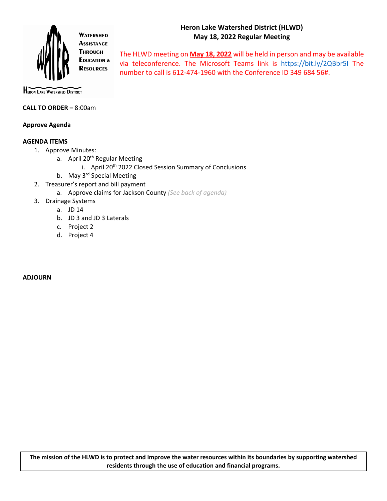## **Heron Lake Watershed District (HLWD) May 18, 2022 Regular Meeting**



**ASSISTANCE THROUGH EDUCATION & RESOURCES** 

The HLWD meeting on **May 18, 2022** will be held in person and may be available via teleconference. The Microsoft Teams link is https://bit.ly/2QBbr5I The number to call is 612-474-1960 with the Conference ID 349 684 56#.

**HERON LAKE WATERSHED DISTRICT** 

#### **CALL TO ORDER –** 8:00am

### **Approve Agenda**

#### **AGENDA ITEMS**

- 1. Approve Minutes:
	- a. April 20<sup>th</sup> Regular Meeting
		- i. April 20<sup>th</sup> 2022 Closed Session Summary of Conclusions
	- b. May 3<sup>rd</sup> Special Meeting
- 2. Treasurer's report and bill payment
	- a. Approve claims for Jackson County *(See back of agenda)*
- 3. Drainage Systems
	- a. JD 14
	- b. JD 3 and JD 3 Laterals
	- c. Project 2
	- d. Project 4

#### **ADJOURN**

**The mission of the HLWD is to protect and improve the water resources within its boundaries by supporting watershed residents through the use of education and financial programs.**